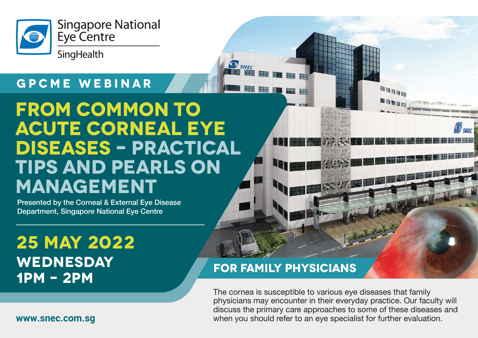

#### **GPCME WEBINAR**

# **FROM COMMON TO ACUTE CORNEAL EYE DISEASES – PRACTICAL TIPS AND PEARLS ON MANAGEMENT**

Presented by the Corneal & External Eye Disease Department, Singapore National Eye Centre

## **25 MAY 2022 WEDNESday 1pm – 2pm**

#### **FOR FAMILY PHYSICIANS**

 $\bullet$  SNEC

The cornea is susceptible to various eye diseases that family physicians may encounter in their everyday practice. Our faculty will discuss the primary care approaches to some of these diseases and when you should refer to an eye specialist for further evaluation.

**HABB** 

**www.snec.com.sg**